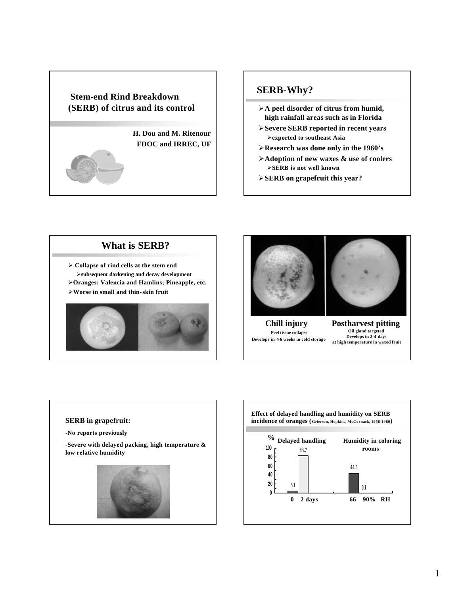

#### **SERB-Why?**

- ÿ**A peel disorder of citrus from humid, high rainfall areas such as in Florida**
- ÿ**Severe SERB reported in recent years** ÿ**exported to southeast Asia**
- ÿ**Research was done only in the 1960's**
- ÿ**Adoption of new waxes & use of coolers** ÿ**SERB is not well known**
- ÿ**SERB on grapefruit this year?**

## **What is SERB?**

ÿ **Collapse of rind cells at the stem end** ÿ**subsequent darkening and decay development**  ÿ**Oranges: Valencia and Hamlins; Pineapple, etc.** ÿ**Worse in small and thin-skin fruit**





**Chill injury Peel tissue collapse Develops in 4-6 weeks in cold storage**



**Postharvest pitting Oil gland targeted Develops in 2-4 days at high temperature in waxed fruit**

#### **SERB in grapefruit:**

**-No reports previously**

**-Severe with delayed packing, high temperature & low relative humidity**



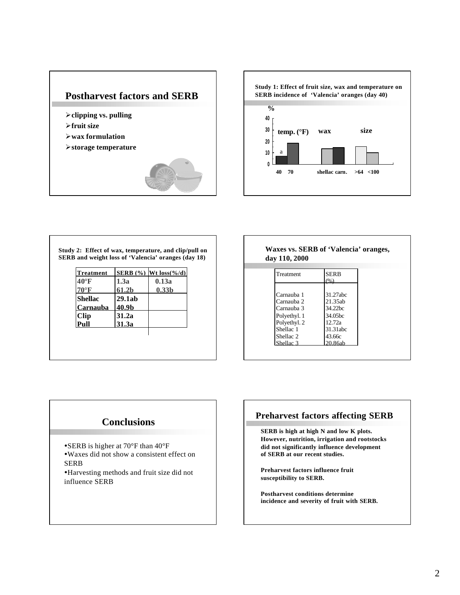



**Study 2: Effect of wax, temperature, and clip/pull on SERB and weight loss of 'Valencia' oranges (day 18)**

| <b>Treatment</b> |        | SERB $(\%)$ Wt loss $(\%d)$ |
|------------------|--------|-----------------------------|
| 40°F             | 1.3a   | 0.13a                       |
| $70^{\circ}$ F   | 61.2b  | 0.33 <sub>b</sub>           |
| <b>Shellac</b>   | 29.1ab |                             |
| Carnauba         | 40.9b  |                             |
| <b>Clip</b>      | 31.2a  |                             |
| •աll             | 31.3a  |                             |
|                  |        |                             |

| Waxes vs. SERB of 'Valencia' oranges, |  |
|---------------------------------------|--|
| day 110, 2000                         |  |

| Treatment            | <b>SERB</b>         |
|----------------------|---------------------|
|                      |                     |
|                      |                     |
| Carnauba 1           | 31.27abc            |
| Carnauba 2           | 21.35ab             |
| Carnauba 3           | 34.22hc             |
| Polyethyl. 1         | 34.05 <sub>hc</sub> |
| Polyethyl. 2         | 12.72a              |
| Shellac <sub>1</sub> | 31.31abc            |
| Shellac <sub>2</sub> | 43.66с              |
| Shellac 3            | 20.86ab             |

## **Conclusions**

- SERB is higher at 70°F than 40°F
- üWaxes did not show a consistent effect on SERB
- üHarvesting methods and fruit size did not influence SERB

#### **Preharvest factors affecting SERB**

**SERB is high at high N and low K plots. However, nutrition, irrigation and rootstocks did not significantly influence development of SERB at our recent studies.**

**Preharvest factors influence fruit susceptibility to SERB.**

**Postharvest conditions determine incidence and severity of fruit with SERB.**